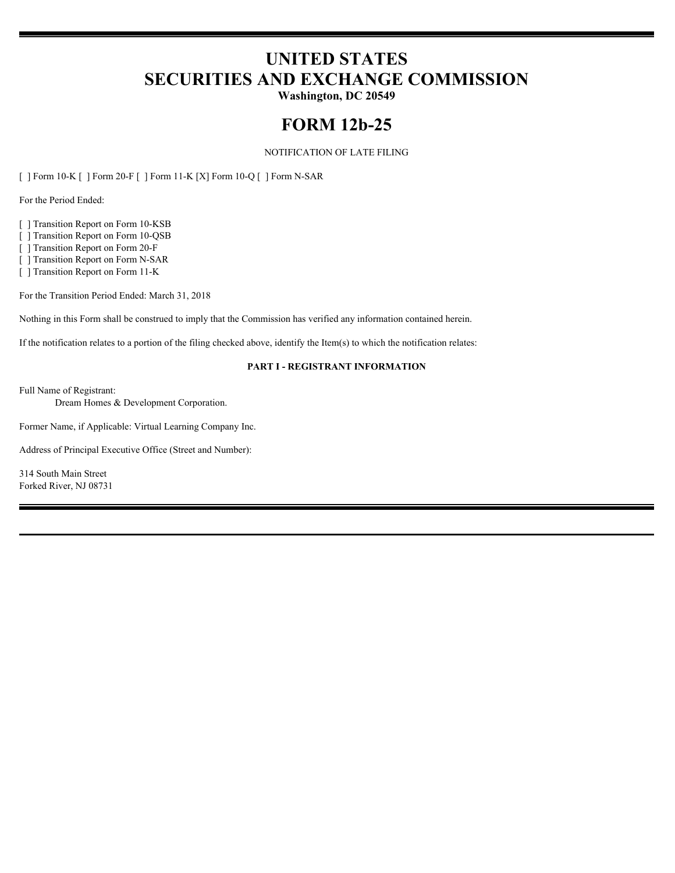# **UNITED STATES SECURITIES AND EXCHANGE COMMISSION**

**Washington, DC 20549**

# **FORM 12b-25**

### NOTIFICATION OF LATE FILING

[ ] Form 10-K [ ] Form 20-F [ ] Form 11-K [X] Form 10-Q [ ] Form N-SAR

For the Period Ended:

[ ] Transition Report on Form 10-KSB

[ ] Transition Report on Form 10-QSB

[ ] Transition Report on Form 20-F

[ ] Transition Report on Form N-SAR

[ ] Transition Report on Form 11-K

For the Transition Period Ended: March 31, 2018

Nothing in this Form shall be construed to imply that the Commission has verified any information contained herein.

If the notification relates to a portion of the filing checked above, identify the Item(s) to which the notification relates:

#### **PART I - REGISTRANT INFORMATION**

Full Name of Registrant:

Dream Homes & Development Corporation.

Former Name, if Applicable: Virtual Learning Company Inc.

Address of Principal Executive Office (Street and Number):

314 South Main Street Forked River, NJ 08731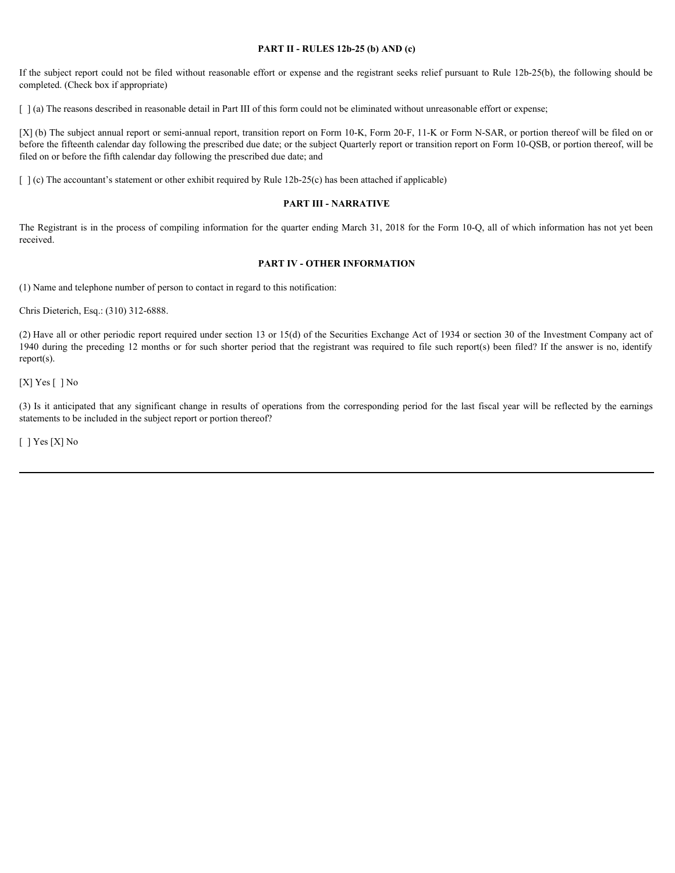#### **PART II - RULES 12b-25 (b) AND (c)**

If the subject report could not be filed without reasonable effort or expense and the registrant seeks relief pursuant to Rule 12b-25(b), the following should be completed. (Check box if appropriate)

[  $\alpha$ ] (a) The reasons described in reasonable detail in Part III of this form could not be eliminated without unreasonable effort or expense;

[X] (b) The subject annual report or semi-annual report, transition report on Form 10-K, Form 20-F, 11-K or Form N-SAR, or portion thereof will be filed on or before the fifteenth calendar day following the prescribed due date; or the subject Quarterly report or transition report on Form 10-QSB, or portion thereof, will be filed on or before the fifth calendar day following the prescribed due date; and Fits subject report could not be fitel without reasonable effort or expense and the registrant secks relative participates of completed (10x3) the neuronic completed (11x2) in the completed (11x2) in results of any signif

 $\lceil \cdot \rceil$  (c) The accountant's statement or other exhibit required by Rule 12b-25(c) has been attached if applicable)

#### **PART III - NARRATIVE**

The Registrant is in the process of compiling information for the quarter ending March 31, 2018 for the Form 10-Q, all of which information has not yet been received.

#### **PART IV - OTHER INFORMATION**

(1) Name and telephone number of person to contact in regard to this notification:

Chris Dieterich, Esq.: (310) 312-6888.

(2) Have all or other periodic report required under section 13 or 15(d) of the Securities Exchange Act of 1934 or section 30 of the Investment Company act of 1940 during the preceding 12 months or for such shorter period that the registrant was required to file such report(s) been filed? If the answer is no, identify report(s).

[X] Yes [] No

statements to be included in the subject report or portion thereof?

[ ] Yes [X] No